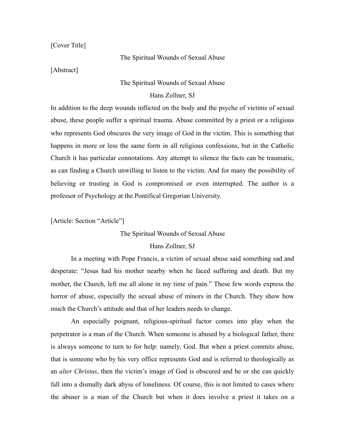[Cover Title]

#### The Spiritual Wounds of Sexual Abuse

[Abstract]

### The Spiritual Wounds of Sexual Abuse

Hans Zollner, SJ

In addition to the deep wounds inflicted on the body and the psyche of victims of sexual abuse, these people suffer a spiritual trauma. Abuse committed by a priest or a religious who represents God obscures the very image of God in the victim. This is something that happens in more or less the same form in all religious confessions, but in the Catholic Church it has particular connotations. Any attempt to silence the facts can be traumatic, as can finding a Church unwilling to listen to the victim. And for many the possibility of believing or trusting in God is compromised or even interrupted. The author is a professor of Psychology at the Pontifical Gregorian University.

[Article: Section "Article"]

The Spiritual Wounds of Sexual Abuse

### Hans Zollner, SJ

 In a meeting with Pope Francis, a victim of sexual abuse said something sad and desperate: "Jesus had his mother nearby when he faced suffering and death. But my mother, the Church, left me all alone in my time of pain." These few words express the horror of abuse, especially the sexual abuse of minors in the Church. They show how much the Church's attitude and that of her leaders needs to change.

 An especially poignant, religious-spiritual factor comes into play when the perpetrator is a man of the Church. When someone is abused by a biological father, there is always someone to turn to for help: namely, God. But when a priest commits abuse, that is someone who by his very office represents God and is referred to theologically as an *alter Christus*, then the victim's image of God is obscured and he or she can quickly fall into a dismally dark abyss of loneliness. Of course, this is not limited to cases where the abuser is a man of the Church but when it does involve a priest it takes on a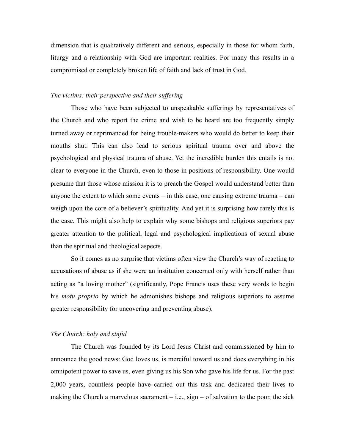dimension that is qualitatively different and serious, especially in those for whom faith, liturgy and a relationship with God are important realities. For many this results in a compromised or completely broken life of faith and lack of trust in God.

# *The victims: their perspective and their suffering*

 Those who have been subjected to unspeakable sufferings by representatives of the Church and who report the crime and wish to be heard are too frequently simply turned away or reprimanded for being trouble-makers who would do better to keep their mouths shut. This can also lead to serious spiritual trauma over and above the psychological and physical trauma of abuse. Yet the incredible burden this entails is not clear to everyone in the Church, even to those in positions of responsibility. One would presume that those whose mission it is to preach the Gospel would understand better than anyone the extent to which some events – in this case, one causing extreme trauma – can weigh upon the core of a believer's spirituality. And yet it is surprising how rarely this is the case. This might also help to explain why some bishops and religious superiors pay greater attention to the political, legal and psychological implications of sexual abuse than the spiritual and theological aspects.

 So it comes as no surprise that victims often view the Church's way of reacting to accusations of abuse as if she were an institution concerned only with herself rather than acting as "a loving mother" (significantly, Pope Francis uses these very words to begin his *motu proprio* by which he admonishes bishops and religious superiors to assume greater responsibility for uncovering and preventing abuse).

### *The Church: holy and sinful*

 The Church was founded by its Lord Jesus Christ and commissioned by him to announce the good news: God loves us, is merciful toward us and does everything in his omnipotent power to save us, even giving us his Son who gave his life for us. For the past 2,000 years, countless people have carried out this task and dedicated their lives to making the Church a marvelous sacrament  $-$  i.e., sign  $-$  of salvation to the poor, the sick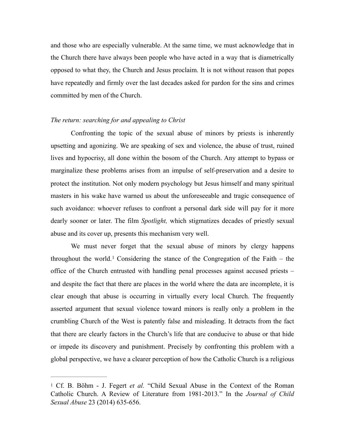and those who are especially vulnerable. At the same time, we must acknowledge that in the Church there have always been people who have acted in a way that is diametrically opposed to what they, the Church and Jesus proclaim. It is not without reason that popes have repeatedly and firmly over the last decades asked for pardon for the sins and crimes committed by men of the Church.

#### *The return: searching for and appealing to Christ*

 Confronting the topic of the sexual abuse of minors by priests is inherently upsetting and agonizing. We are speaking of sex and violence, the abuse of trust, ruined lives and hypocrisy, all done within the bosom of the Church. Any attempt to bypass or marginalize these problems arises from an impulse of self-preservation and a desire to protect the institution. Not only modern psychology but Jesus himself and many spiritual masters in his wake have warned us about the unforeseeable and tragic consequence of such avoidance: whoever refuses to confront a personal dark side will pay for it more dearly sooner or later. The film *Spotlight,* which stigmatizes decades of priestly sexual abuse and its cover up, presents this mechanism very well.

<span id="page-2-1"></span> We must never forget that the sexual abuse of minors by clergy happens throughoutthe world.<sup>[1](#page-2-0)</sup> Considering the stance of the Congregation of the Faith – the office of the Church entrusted with handling penal processes against accused priests – and despite the fact that there are places in the world where the data are incomplete, it is clear enough that abuse is occurring in virtually every local Church. The frequently asserted argument that sexual violence toward minors is really only a problem in the crumbling Church of the West is patently false and misleading. It detracts from the fact that there are clearly factors in the Church's life that are conducive to abuse or that hide or impede its discovery and punishment. Precisely by confronting this problem with a global perspective, we have a clearer perception of how the Catholic Church is a religious

<span id="page-2-0"></span>[<sup>1</sup>](#page-2-1) Cf. B. Böhm - J. Fegert *et al.* "Child Sexual Abuse in the Context of the Roman Catholic Church. A Review of Literature from 1981-2013." In the *Journal of Child Sexual Abuse* 23 (2014) 635-656.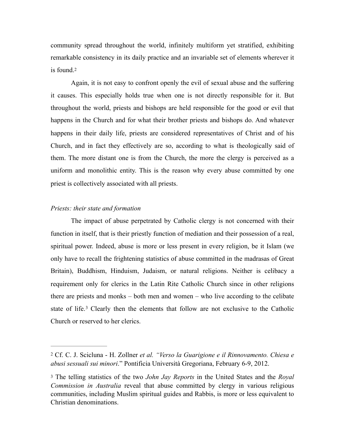community spread throughout the world, infinitely multiform yet stratified, exhibiting remarkable consistency in its daily practice and an invariable set of elements wherever it is found.[2](#page-3-0)

<span id="page-3-2"></span> Again, it is not easy to confront openly the evil of sexual abuse and the suffering it causes. This especially holds true when one is not directly responsible for it. But throughout the world, priests and bishops are held responsible for the good or evil that happens in the Church and for what their brother priests and bishops do. And whatever happens in their daily life, priests are considered representatives of Christ and of his Church, and in fact they effectively are so, according to what is theologically said of them. The more distant one is from the Church, the more the clergy is perceived as a uniform and monolithic entity. This is the reason why every abuse committed by one priest is collectively associated with all priests.

# *Priests: their state and formation*

 The impact of abuse perpetrated by Catholic clergy is not concerned with their function in itself, that is their priestly function of mediation and their possession of a real, spiritual power. Indeed, abuse is more or less present in every religion, be it Islam (we only have to recall the frightening statistics of abuse committed in the madrasas of Great Britain), Buddhism, Hinduism, Judaism, or natural religions. Neither is celibacy a requirement only for clerics in the Latin Rite Catholic Church since in other religions there are priests and monks – both men and women – who live according to the celibate stateof life.<sup>[3](#page-3-1)</sup> Clearly then the elements that follow are not exclusive to the Catholic Church or reserved to her clerics.

<span id="page-3-3"></span><span id="page-3-0"></span>Cf. C. J. Scicluna - H. Zollner *et al. "Verso la Guarigione e il Rinnovamento. Chiesa e* [2](#page-3-2) *abusi sessuali sui minori*." Pontificia Università Gregoriana, February 6-9, 2012.

<span id="page-3-1"></span>[<sup>3</sup>](#page-3-3) The telling statistics of the two *John Jay Reports* in the United States and the *Royal Commission in Australia* reveal that abuse committed by clergy in various religious communities, including Muslim spiritual guides and Rabbis, is more or less equivalent to Christian denominations.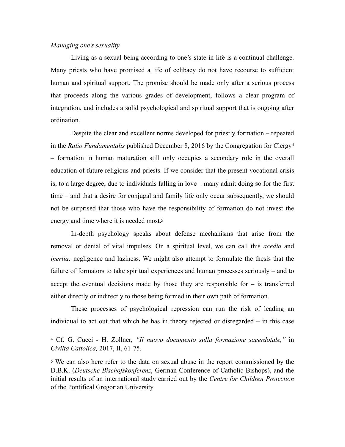### *Managing one's sexuality*

 Living as a sexual being according to one's state in life is a continual challenge. Many priests who have promised a life of celibacy do not have recourse to sufficient human and spiritual support. The promise should be made only after a serious process that proceeds along the various grades of development, follows a clear program of integration, and includes a solid psychological and spiritual support that is ongoing after ordination.

<span id="page-4-2"></span>Despite the clear and excellent norms developed for priestly formation – repeated in the *Ratio Fundamentalis* published December 8, 2016 by the Congregation for Clergy[4](#page-4-0) – formation in human maturation still only occupies a secondary role in the overall education of future religious and priests. If we consider that the present vocational crisis is, to a large degree, due to individuals falling in love – many admit doing so for the first time – and that a desire for conjugal and family life only occur subsequently, we should not be surprised that those who have the responsibility of formation do not invest the energy and time where it is needed most[.5](#page-4-1)

<span id="page-4-3"></span> In-depth psychology speaks about defense mechanisms that arise from the removal or denial of vital impulses. On a spiritual level, we can call this *acedia* and *inertia:* negligence and laziness. We might also attempt to formulate the thesis that the failure of formators to take spiritual experiences and human processes seriously – and to accept the eventual decisions made by those they are responsible for  $-$  is transferred either directly or indirectly to those being formed in their own path of formation.

 These processes of psychological repression can run the risk of leading an individual to act out that which he has in theory rejected or disregarded – in this case

<span id="page-4-0"></span>Cf. G. Cucci - H. Zollner, *"Il nuovo documento sulla formazione sacerdotale,"* in [4](#page-4-2) *Civiltà Cattolica,* 2017, II, 61-75.

<span id="page-4-1"></span>[<sup>5</sup>](#page-4-3) We can also here refer to the data on sexual abuse in the report commissioned by the D.B.K. (*Deutsche Bischofskonferenz*, German Conference of Catholic Bishops), and the initial results of an international study carried out by the *Centre for Children Protection*  of the Pontifical Gregorian University.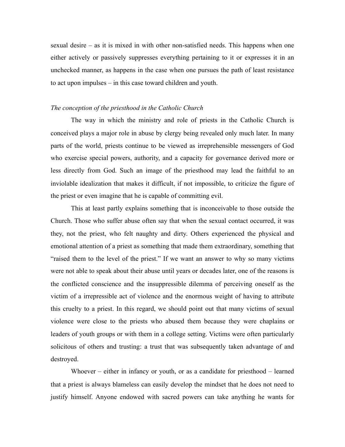sexual desire – as it is mixed in with other non-satisfied needs. This happens when one either actively or passively suppresses everything pertaining to it or expresses it in an unchecked manner, as happens in the case when one pursues the path of least resistance to act upon impulses – in this case toward children and youth.

## *The conception of the priesthood in the Catholic Church*

The way in which the ministry and role of priests in the Catholic Church is conceived plays a major role in abuse by clergy being revealed only much later. In many parts of the world, priests continue to be viewed as irreprehensible messengers of God who exercise special powers, authority, and a capacity for governance derived more or less directly from God. Such an image of the priesthood may lead the faithful to an inviolable idealization that makes it difficult, if not impossible, to criticize the figure of the priest or even imagine that he is capable of committing evil.

 This at least partly explains something that is inconceivable to those outside the Church. Those who suffer abuse often say that when the sexual contact occurred, it was they, not the priest, who felt naughty and dirty. Others experienced the physical and emotional attention of a priest as something that made them extraordinary, something that "raised them to the level of the priest." If we want an answer to why so many victims were not able to speak about their abuse until years or decades later, one of the reasons is the conflicted conscience and the insuppressible dilemma of perceiving oneself as the victim of a irrepressible act of violence and the enormous weight of having to attribute this cruelty to a priest. In this regard, we should point out that many victims of sexual violence were close to the priests who abused them because they were chaplains or leaders of youth groups or with them in a college setting. Victims were often particularly solicitous of others and trusting: a trust that was subsequently taken advantage of and destroyed.

Whoever – either in infancy or youth, or as a candidate for priesthood – learned that a priest is always blameless can easily develop the mindset that he does not need to justify himself. Anyone endowed with sacred powers can take anything he wants for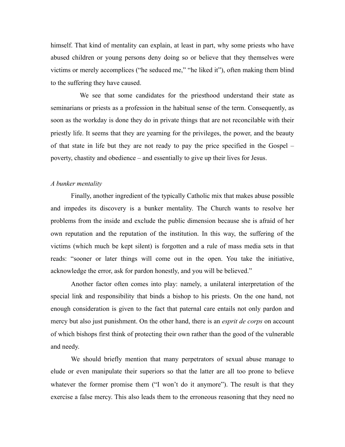himself. That kind of mentality can explain, at least in part, why some priests who have abused children or young persons deny doing so or believe that they themselves were victims or merely accomplices ("he seduced me," "he liked it"), often making them blind to the suffering they have caused.

 We see that some candidates for the priesthood understand their state as seminarians or priests as a profession in the habitual sense of the term. Consequently, as soon as the workday is done they do in private things that are not reconcilable with their priestly life. It seems that they are yearning for the privileges, the power, and the beauty of that state in life but they are not ready to pay the price specified in the Gospel – poverty, chastity and obedience – and essentially to give up their lives for Jesus.

### *A bunker mentality*

 Finally, another ingredient of the typically Catholic mix that makes abuse possible and impedes its discovery is a bunker mentality. The Church wants to resolve her problems from the inside and exclude the public dimension because she is afraid of her own reputation and the reputation of the institution. In this way, the suffering of the victims (which much be kept silent) is forgotten and a rule of mass media sets in that reads: "sooner or later things will come out in the open. You take the initiative, acknowledge the error, ask for pardon honestly, and you will be believed."

 Another factor often comes into play: namely, a unilateral interpretation of the special link and responsibility that binds a bishop to his priests. On the one hand, not enough consideration is given to the fact that paternal care entails not only pardon and mercy but also just punishment. On the other hand, there is an *esprit de corps* on account of which bishops first think of protecting their own rather than the good of the vulnerable and needy.

 We should briefly mention that many perpetrators of sexual abuse manage to elude or even manipulate their superiors so that the latter are all too prone to believe whatever the former promise them ("I won't do it anymore"). The result is that they exercise a false mercy. This also leads them to the erroneous reasoning that they need no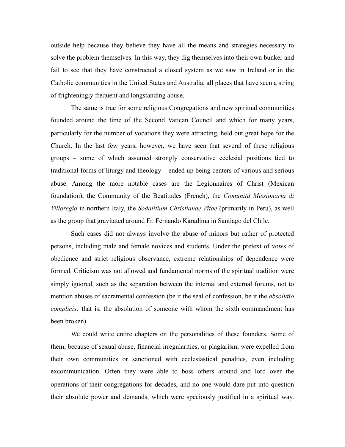outside help because they believe they have all the means and strategies necessary to solve the problem themselves. In this way, they dig themselves into their own bunker and fail to see that they have constructed a closed system as we saw in Ireland or in the Catholic communities in the United States and Australia, all places that have seen a string of frighteningly frequent and longstanding abuse.

 The same is true for some religious Congregations and new spiritual communities founded around the time of the Second Vatican Council and which for many years, particularly for the number of vocations they were attracting, held out great hope for the Church. In the last few years, however, we have seen that several of these religious groups – some of which assumed strongly conservative ecclesial positions tied to traditional forms of liturgy and theology – ended up being centers of various and serious abuse. Among the more notable cases are the Legionnaires of Christ (Mexican foundation), the Community of the Beatitudes (French), the *Comunità Missionaria di Villaregia* in northern Italy, the *Sodalitium Christianae Vitae* (primarily in Peru), as well as the group that gravitated around Fr. Fernando Karadima in Santiago del Chile.

 Such cases did not always involve the abuse of minors but rather of protected persons, including male and female novices and students. Under the pretext of vows of obedience and strict religious observance, extreme relationships of dependence were formed. Criticism was not allowed and fundamental norms of the spiritual tradition were simply ignored, such as the separation between the internal and external forums, not to mention abuses of sacramental confession (be it the seal of confession, be it the *absolutio complicis;* that is, the absolution of someone with whom the sixth commandment has been broken).

 We could write entire chapters on the personalities of these founders. Some of them, because of sexual abuse, financial irregularities, or plagiarism, were expelled from their own communities or sanctioned with ecclesiastical penalties, even including excommunication. Often they were able to boss others around and lord over the operations of their congregations for decades, and no one would dare put into question their absolute power and demands, which were speciously justified in a spiritual way.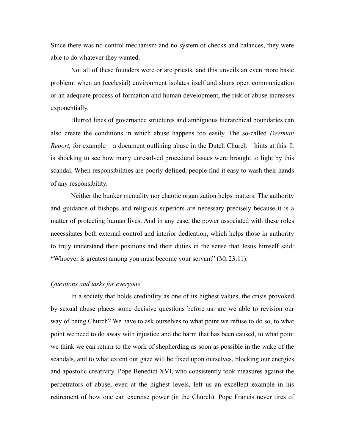Since there was no control mechanism and no system of checks and balances, they were able to do whatever they wanted.

 Not all of these founders were or are priests, and this unveils an even more basic problem: when an (ecclesial) environment isolates itself and shuns open communication or an adequate process of formation and human development, the risk of abuse increases exponentially.

 Blurred lines of governance structures and ambiguous hierarchical boundaries can also create the conditions in which abuse happens too easily. The so-called *Deetman Report,* for example – a document outlining abuse in the Dutch Church – hints at this. It is shocking to see how many unresolved procedural issues were brought to light by this scandal. When responsibilities are poorly defined, people find it easy to wash their hands of any responsibility.

 Neither the bunker mentality nor chaotic organization helps matters. The authority and guidance of bishops and religious superiors are necessary precisely because it is a matter of protecting human lives. And in any case, the power associated with these roles necessitates both external control and interior dedication, which helps those in authority to truly understand their positions and their duties in the sense that Jesus himself said: "Whoever is greatest among you must become your servant" (Mt 23:11).

### *Questions and tasks for everyone*

 In a society that holds credibility as one of its highest values, the crisis provoked by sexual abuse places some decisive questions before us: are we able to revision our way of being Church? We have to ask ourselves to what point we refuse to do so, to what point we need to do away with injustice and the harm that has been caused, to what point we think we can return to the work of shepherding as soon as possible in the wake of the scandals, and to what extent our gaze will be fixed upon ourselves, blocking our energies and apostolic creativity. Pope Benedict XVI, who consistently took measures against the perpetrators of abuse, even at the highest levels, left us an excellent example in his retirement of how one can exercise power (in the Church). Pope Francis never tires of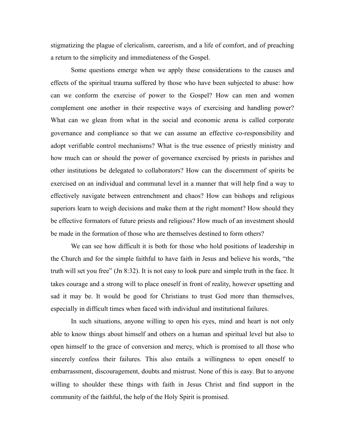stigmatizing the plague of clericalism, careerism, and a life of comfort, and of preaching a return to the simplicity and immediateness of the Gospel.

 Some questions emerge when we apply these considerations to the causes and effects of the spiritual trauma suffered by those who have been subjected to abuse: how can we conform the exercise of power to the Gospel? How can men and women complement one another in their respective ways of exercising and handling power? What can we glean from what in the social and economic arena is called corporate governance and compliance so that we can assume an effective co-responsibility and adopt verifiable control mechanisms? What is the true essence of priestly ministry and how much can or should the power of governance exercised by priests in parishes and other institutions be delegated to collaborators? How can the discernment of spirits be exercised on an individual and communal level in a manner that will help find a way to effectively navigate between entrenchment and chaos? How can bishops and religious superiors learn to weigh decisions and make them at the right moment? How should they be effective formators of future priests and religious? How much of an investment should be made in the formation of those who are themselves destined to form others?

 We can see how difficult it is both for those who hold positions of leadership in the Church and for the simple faithful to have faith in Jesus and believe his words, "the truth will set you free" (Jn 8:32). It is not easy to look pure and simple truth in the face. It takes courage and a strong will to place oneself in front of reality, however upsetting and sad it may be. It would be good for Christians to trust God more than themselves, especially in difficult times when faced with individual and institutional failures.

 In such situations, anyone willing to open his eyes, mind and heart is not only able to know things about himself and others on a human and spiritual level but also to open himself to the grace of conversion and mercy, which is promised to all those who sincerely confess their failures. This also entails a willingness to open oneself to embarrassment, discouragement, doubts and mistrust. None of this is easy. But to anyone willing to shoulder these things with faith in Jesus Christ and find support in the community of the faithful, the help of the Holy Spirit is promised.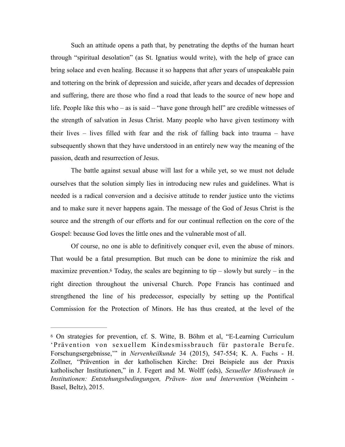Such an attitude opens a path that, by penetrating the depths of the human heart through "spiritual desolation" (as St. Ignatius would write), with the help of grace can bring solace and even healing. Because it so happens that after years of unspeakable pain and tottering on the brink of depression and suicide, after years and decades of depression and suffering, there are those who find a road that leads to the source of new hope and life. People like this who – as is said – "have gone through hell" are credible witnesses of the strength of salvation in Jesus Christ. Many people who have given testimony with their lives – lives filled with fear and the risk of falling back into trauma – have subsequently shown that they have understood in an entirely new way the meaning of the passion, death and resurrection of Jesus.

 The battle against sexual abuse will last for a while yet, so we must not delude ourselves that the solution simply lies in introducing new rules and guidelines. What is needed is a radical conversion and a decisive attitude to render justice unto the victims and to make sure it never happens again. The message of the God of Jesus Christ is the source and the strength of our efforts and for our continual reflection on the core of the Gospel: because God loves the little ones and the vulnerable most of all.

<span id="page-10-1"></span> Of course, no one is able to definitively conquer evil, even the abuse of minors. That would be a fatal presumption. But much can be done to minimize the risk and maximize prevention.<sup>6</sup> Today, the scales are beginning to tip – slowly but surely – in the right direction throughout the universal Church. Pope Francis has continued and strengthened the line of his predecessor, especially by setting up the Pontifical Commission for the Protection of Minors. He has thus created, at the level of the

<span id="page-10-0"></span>[<sup>6</sup>](#page-10-1) On strategies for prevention, cf. S. Witte, B. Böhm et al, "E-Learning Curriculum 'Prävention von sexuellem Kindesmissbrauch für pastorale Berufe. Forschungsergebnisse,'" in *Nervenheilkunde* 34 (2015), 547-554; K. A. Fuchs - H. Zollner, "Prävention in der katholischen Kirche: Drei Beispiele aus der Praxis katholischer Institutionen," in J. Fegert and M. Wolff (eds), *Sexueller Missbrauch in Institutionen: Entstehungsbedingungen, Präven- tion und Intervention* (Weinheim - Basel, Beltz), 2015.